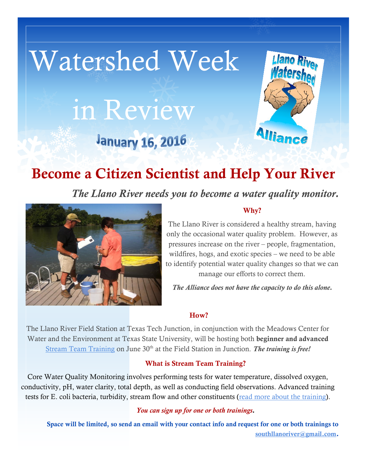# Watershed Week in Review **January 16, 2016**



# **Become a Citizen Scientist and Help Your River**

*The Llano River needs you to become a water quality monitor.*



#### **Why?**

The Llano River is considered a healthy stream, having only the occasional water quality problem. However, as pressures increase on the river – people, fragmentation, wildfires, hogs, and exotic species – we need to be able to identify potential water quality changes so that we can manage our efforts to correct them.

*The Alliance does not have the capacity to do this alone.*

#### **How?**

The Llano River Field Station at Texas Tech Junction, in conjunction with the Meadows Center for Water and the Environment at Texas State University, will be hosting both **beginner and advanced** [Stream Team Training](http://southllano.org/blog/wp-content/files/Junction_Jan_30_Llano_River-1.jpg) on June 30<sup>th</sup> at the Field Station in Junction. *The training is free!* 

#### **What is Stream Team Training?**

Core Water Quality Monitoring involves performing tests for water temperature, dissolved oxygen, conductivity, pH, water clarity, total depth, as well as conducting field observations. Advanced training tests for E. coli bacteria, turbidity, stream flow and other constituents [\(read more about the training\)](http://www.meadowscenter.txstate.edu/Service/TexasStreamTeam/citizenscientists/thetraining.html).

#### *You can sign up for one or both trainings.*

**Space will be limited, so send an email with your contact info and request for one or both trainings to [southllanoriver@gmail.com](mailto:southllanoriver@gmail.com).**